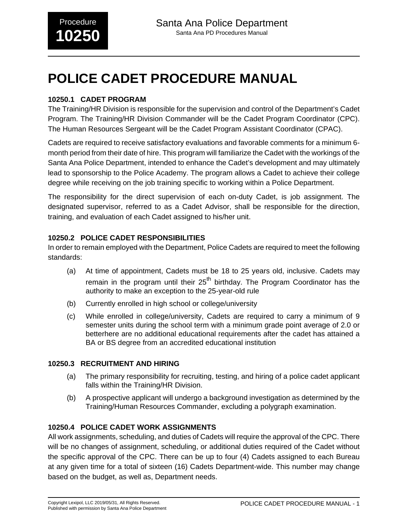# **POLICE CADET PROCEDURE MANUAL**

# **10250.1 CADET PROGRAM**

The Training/HR Division is responsible for the supervision and control of the Department's Cadet Program. The Training/HR Division Commander will be the Cadet Program Coordinator (CPC). The Human Resources Sergeant will be the Cadet Program Assistant Coordinator (CPAC).

Cadets are required to receive satisfactory evaluations and favorable comments for a minimum 6 month period from their date of hire. This program will familiarize the Cadet with the workings of the Santa Ana Police Department, intended to enhance the Cadet's development and may ultimately lead to sponsorship to the Police Academy. The program allows a Cadet to achieve their college degree while receiving on the job training specific to working within a Police Department.

The responsibility for the direct supervision of each on-duty Cadet, is job assignment. The designated supervisor, referred to as a Cadet Advisor, shall be responsible for the direction, training, and evaluation of each Cadet assigned to his/her unit.

# **10250.2 POLICE CADET RESPONSIBILITIES**

In order to remain employed with the Department, Police Cadets are required to meet the following standards:

- (a) At time of appointment, Cadets must be 18 to 25 years old, inclusive. Cadets may remain in the program until their  $25<sup>th</sup>$  birthday. The Program Coordinator has the authority to make an exception to the 25-year-old rule
- (b) Currently enrolled in high school or college/university
- (c) While enrolled in college/university, Cadets are required to carry a minimum of 9 semester units during the school term with a minimum grade point average of 2.0 or betterhere are no additional educational requirements after the cadet has attained a BA or BS degree from an accredited educational institution

# **10250.3 RECRUITMENT AND HIRING**

- (a) The primary responsibility for recruiting, testing, and hiring of a police cadet applicant falls within the Training/HR Division.
- (b) A prospective applicant will undergo a background investigation as determined by the Training/Human Resources Commander, excluding a polygraph examination.

# **10250.4 POLICE CADET WORK ASSIGNMENTS**

All work assignments, scheduling, and duties of Cadets will require the approval of the CPC. There will be no changes of assignment, scheduling, or additional duties required of the Cadet without the specific approval of the CPC. There can be up to four (4) Cadets assigned to each Bureau at any given time for a total of sixteen (16) Cadets Department-wide. This number may change based on the budget, as well as, Department needs.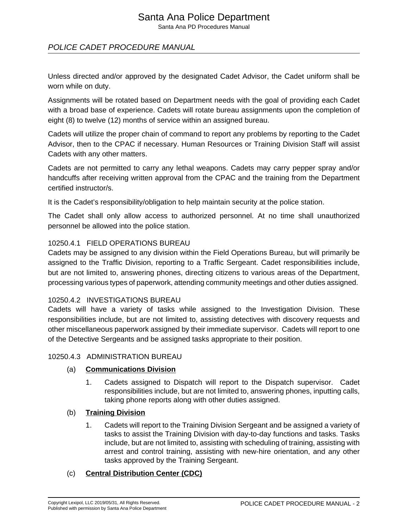Santa Ana PD Procedures Manual

# POLICE CADET PROCEDURE MANUAL

Unless directed and/or approved by the designated Cadet Advisor, the Cadet uniform shall be worn while on duty.

Assignments will be rotated based on Department needs with the goal of providing each Cadet with a broad base of experience. Cadets will rotate bureau assignments upon the completion of eight (8) to twelve (12) months of service within an assigned bureau.

Cadets will utilize the proper chain of command to report any problems by reporting to the Cadet Advisor, then to the CPAC if necessary. Human Resources or Training Division Staff will assist Cadets with any other matters.

Cadets are not permitted to carry any lethal weapons. Cadets may carry pepper spray and/or handcuffs after receiving written approval from the CPAC and the training from the Department certified instructor/s.

It is the Cadet's responsibility/obligation to help maintain security at the police station.

The Cadet shall only allow access to authorized personnel. At no time shall unauthorized personnel be allowed into the police station.

### 10250.4.1 FIELD OPERATIONS BUREAU

Cadets may be assigned to any division within the Field Operations Bureau, but will primarily be assigned to the Traffic Division, reporting to a Traffic Sergeant. Cadet responsibilities include, but are not limited to, answering phones, directing citizens to various areas of the Department, processing various types of paperwork, attending community meetings and other duties assigned.

### 10250.4.2 INVESTIGATIONS BUREAU

Cadets will have a variety of tasks while assigned to the Investigation Division. These responsibilities include, but are not limited to, assisting detectives with discovery requests and other miscellaneous paperwork assigned by their immediate supervisor. Cadets will report to one of the Detective Sergeants and be assigned tasks appropriate to their position.

### 10250.4.3 ADMINISTRATION BUREAU

### (a) **Communications Division**

1. Cadets assigned to Dispatch will report to the Dispatch supervisor. Cadet responsibilities include, but are not limited to, answering phones, inputting calls, taking phone reports along with other duties assigned.

### (b) **Training Division**

1. Cadets will report to the Training Division Sergeant and be assigned a variety of tasks to assist the Training Division with day-to-day functions and tasks. Tasks include, but are not limited to, assisting with scheduling of training, assisting with arrest and control training, assisting with new-hire orientation, and any other tasks approved by the Training Sergeant.

### (c) **Central Distribution Center (CDC)**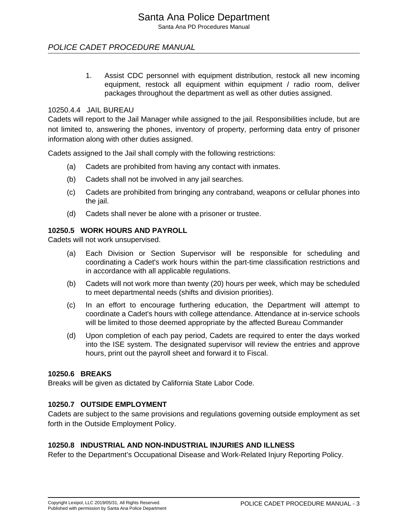Santa Ana PD Procedures Manual

# POLICE CADET PROCEDURE MANUAL

1. Assist CDC personnel with equipment distribution, restock all new incoming equipment, restock all equipment within equipment / radio room, deliver packages throughout the department as well as other duties assigned.

## 10250.4.4 JAIL BUREAU

Cadets will report to the Jail Manager while assigned to the jail. Responsibilities include, but are not limited to, answering the phones, inventory of property, performing data entry of prisoner information along with other duties assigned.

Cadets assigned to the Jail shall comply with the following restrictions:

- (a) Cadets are prohibited from having any contact with inmates.
- (b) Cadets shall not be involved in any jail searches.
- (c) Cadets are prohibited from bringing any contraband, weapons or cellular phones into the jail.
- (d) Cadets shall never be alone with a prisoner or trustee.

# **10250.5 WORK HOURS AND PAYROLL**

Cadets will not work unsupervised.

- (a) Each Division or Section Supervisor will be responsible for scheduling and coordinating a Cadet's work hours within the part-time classification restrictions and in accordance with all applicable regulations.
- (b) Cadets will not work more than twenty (20) hours per week, which may be scheduled to meet departmental needs (shifts and division priorities).
- (c) In an effort to encourage furthering education, the Department will attempt to coordinate a Cadet's hours with college attendance. Attendance at in-service schools will be limited to those deemed appropriate by the affected Bureau Commander
- (d) Upon completion of each pay period, Cadets are required to enter the days worked into the ISE system. The designated supervisor will review the entries and approve hours, print out the payroll sheet and forward it to Fiscal.

# **10250.6 BREAKS**

Breaks will be given as dictated by California State Labor Code.

# **10250.7 OUTSIDE EMPLOYMENT**

Cadets are subject to the same provisions and regulations governing outside employment as set forth in the Outside Employment Policy.

# **10250.8 INDUSTRIAL AND NON-INDUSTRIAL INJURIES AND ILLNESS**

Refer to the Department's Occupational Disease and Work-Related Injury Reporting Policy.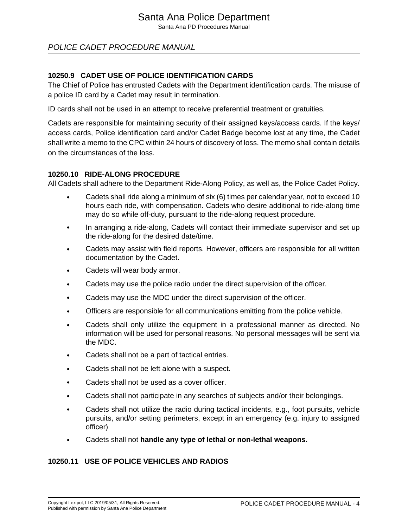Santa Ana PD Procedures Manual

# POLICE CADET PROCEDURE MANUAL

## **10250.9 CADET USE OF POLICE IDENTIFICATION CARDS**

The Chief of Police has entrusted Cadets with the Department identification cards. The misuse of a police ID card by a Cadet may result in termination.

ID cards shall not be used in an attempt to receive preferential treatment or gratuities.

Cadets are responsible for maintaining security of their assigned keys/access cards. If the keys/ access cards, Police identification card and/or Cadet Badge become lost at any time, the Cadet shall write a memo to the CPC within 24 hours of discovery of loss. The memo shall contain details on the circumstances of the loss.

#### **10250.10 RIDE-ALONG PROCEDURE**

All Cadets shall adhere to the Department Ride-Along Policy, as well as, the Police Cadet Policy.

- Cadets shall ride along a minimum of six (6) times per calendar year, not to exceed 10 hours each ride, with compensation. Cadets who desire additional to ride-along time may do so while off-duty, pursuant to the ride-along request procedure.
- In arranging a ride-along, Cadets will contact their immediate supervisor and set up the ride-along for the desired date/time.
- Cadets may assist with field reports. However, officers are responsible for all written documentation by the Cadet.
- Cadets will wear body armor.
- Cadets may use the police radio under the direct supervision of the officer.
- Cadets may use the MDC under the direct supervision of the officer.
- Officers are responsible for all communications emitting from the police vehicle.
- Cadets shall only utilize the equipment in a professional manner as directed. No information will be used for personal reasons. No personal messages will be sent via the MDC.
- Cadets shall not be a part of tactical entries.
- Cadets shall not be left alone with a suspect.
- Cadets shall not be used as a cover officer.
- Cadets shall not participate in any searches of subjects and/or their belongings.
- Cadets shall not utilize the radio during tactical incidents, e.g., foot pursuits, vehicle pursuits, and/or setting perimeters, except in an emergency (e.g. injury to assigned officer)
- Cadets shall not **handle any type of lethal or non-lethal weapons.**

### **10250.11 USE OF POLICE VEHICLES AND RADIOS**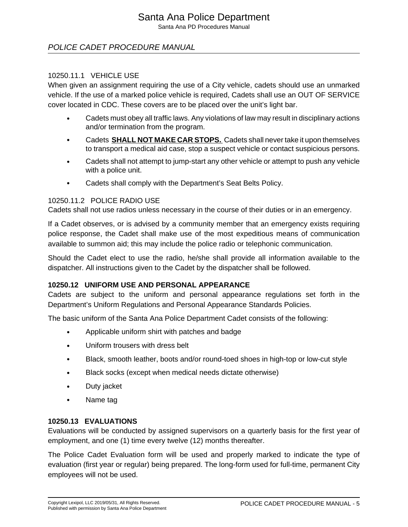Santa Ana PD Procedures Manual

# POLICE CADET PROCEDURE MANUAL

### 10250.11.1 VEHICLE USE

When given an assignment requiring the use of a City vehicle, cadets should use an unmarked vehicle. If the use of a marked police vehicle is required, Cadets shall use an OUT OF SERVICE cover located in CDC. These covers are to be placed over the unit's light bar.

- Cadets must obey all traffic laws. Any violations of law may result in disciplinary actions and/or termination from the program.
- Cadets **SHALL NOT MAKE CAR STOPS.** Cadets shall never take it upon themselves to transport a medical aid case, stop a suspect vehicle or contact suspicious persons.
- Cadets shall not attempt to jump-start any other vehicle or attempt to push any vehicle with a police unit.
- Cadets shall comply with the Department's Seat Belts Policy.

### 10250.11.2 POLICE RADIO USE

Cadets shall not use radios unless necessary in the course of their duties or in an emergency.

If a Cadet observes, or is advised by a community member that an emergency exists requiring police response, the Cadet shall make use of the most expeditious means of communication available to summon aid; this may include the police radio or telephonic communication.

Should the Cadet elect to use the radio, he/she shall provide all information available to the dispatcher. All instructions given to the Cadet by the dispatcher shall be followed.

### **10250.12 UNIFORM USE AND PERSONAL APPEARANCE**

Cadets are subject to the uniform and personal appearance regulations set forth in the Department's Uniform Regulations and Personal Appearance Standards Policies.

The basic uniform of the Santa Ana Police Department Cadet consists of the following:

- Applicable uniform shirt with patches and badge
- Uniform trousers with dress belt
- Black, smooth leather, boots and/or round-toed shoes in high-top or low-cut style
- Black socks (except when medical needs dictate otherwise)
- Duty jacket
- Name tag

### **10250.13 EVALUATIONS**

Evaluations will be conducted by assigned supervisors on a quarterly basis for the first year of employment, and one (1) time every twelve (12) months thereafter.

The Police Cadet Evaluation form will be used and properly marked to indicate the type of evaluation (first year or regular) being prepared. The long-form used for full-time, permanent City employees will not be used.